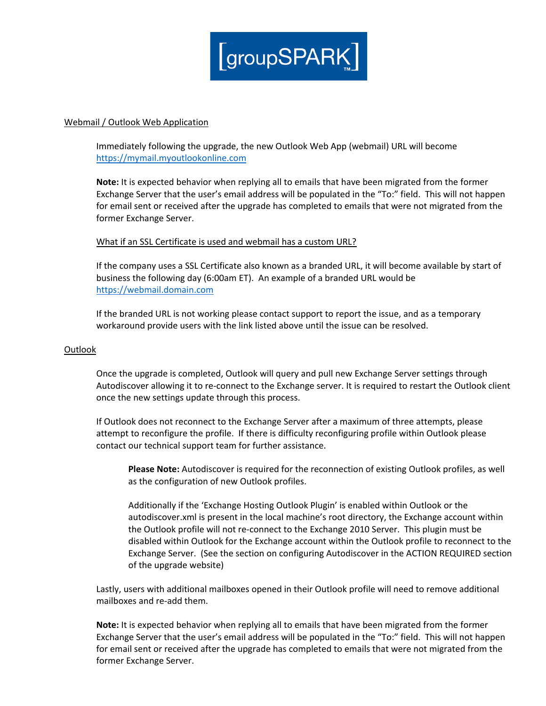

# Webmail / Outlook Web Application

Immediately following the upgrade, the new Outlook Web App (webmail) URL will become [https://mymail.myoutlookonline.com](https://mymail.myoutlookonline.com/)

**Note:** It is expected behavior when replying all to emails that have been migrated from the former Exchange Server that the user's email address will be populated in the "To:" field. This will not happen for email sent or received after the upgrade has completed to emails that were not migrated from the former Exchange Server.

# What if an SSL Certificate is used and webmail has a custom URL?

If the company uses a SSL Certificate also known as a branded URL, it will become available by start of business the following day (6:00am ET). An example of a branded URL would be [https://webmail.domain.com](https://webmail.domain.com/)

If the branded URL is not working please contact support to report the issue, and as a temporary workaround provide users with the link listed above until the issue can be resolved.

# **Outlook**

Once the upgrade is completed, Outlook will query and pull new Exchange Server settings through Autodiscover allowing it to re-connect to the Exchange server. It is required to restart the Outlook client once the new settings update through this process.

If Outlook does not reconnect to the Exchange Server after a maximum of three attempts, please attempt to reconfigure the profile. If there is difficulty reconfiguring profile within Outlook please contact our technical support team for further assistance.

**Please Note:** Autodiscover is required for the reconnection of existing Outlook profiles, as well as the configuration of new Outlook profiles.

Additionally if the 'Exchange Hosting Outlook Plugin' is enabled within Outlook or the autodiscover.xml is present in the local machine's root directory, the Exchange account within the Outlook profile will not re-connect to the Exchange 2010 Server. This plugin must be disabled within Outlook for the Exchange account within the Outlook profile to reconnect to the Exchange Server. (See the section on configuring Autodiscover in the ACTION REQUIRED section of the upgrade website)

Lastly, users with additional mailboxes opened in their Outlook profile will need to remove additional mailboxes and re-add them.

**Note:** It is expected behavior when replying all to emails that have been migrated from the former Exchange Server that the user's email address will be populated in the "To:" field. This will not happen for email sent or received after the upgrade has completed to emails that were not migrated from the former Exchange Server.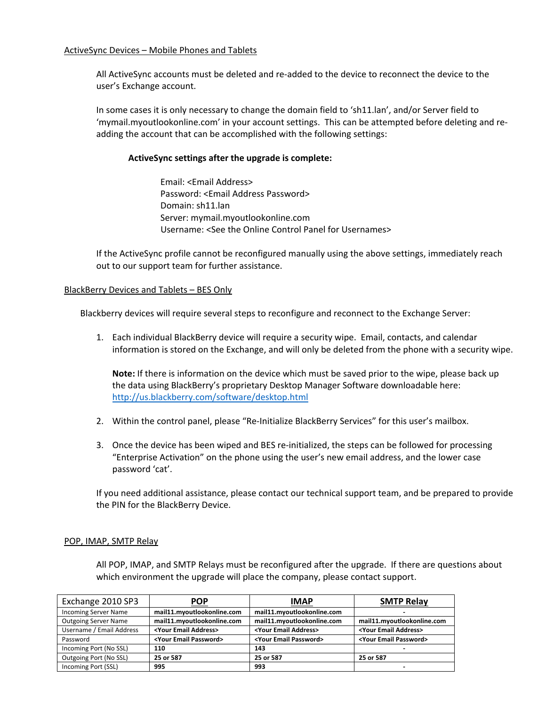All ActiveSync accounts must be deleted and re-added to the device to reconnect the device to the user's Exchange account.

In some cases it is only necessary to change the domain field to 'sh11.lan', and/or Server field to 'mymail.myoutlookonline.com' in your account settings. This can be attempted before deleting and readding the account that can be accomplished with the following settings:

# **ActiveSync settings after the upgrade is complete:**

Email: <Email Address> Password: <Email Address Password> Domain: sh11.lan Server: mymail.myoutlookonline.com Username: <See the Online Control Panel for Usernames>

If the ActiveSync profile cannot be reconfigured manually using the above settings, immediately reach out to our support team for further assistance.

# BlackBerry Devices and Tablets – BES Only

Blackberry devices will require several steps to reconfigure and reconnect to the Exchange Server:

1. Each individual BlackBerry device will require a security wipe. Email, contacts, and calendar information is stored on the Exchange, and will only be deleted from the phone with a security wipe.

**Note:** If there is information on the device which must be saved prior to the wipe, please back up the data using BlackBerry's proprietary Desktop Manager Software downloadable here: <http://us.blackberry.com/software/desktop.html>

- 2. Within the control panel, please "Re-Initialize BlackBerry Services" for this user's mailbox.
- 3. Once the device has been wiped and BES re-initialized, the steps can be followed for processing "Enterprise Activation" on the phone using the user's new email address, and the lower case password 'cat'.

If you need additional assistance, please contact our technical support team, and be prepared to provide the PIN for the BlackBerry Device.

# POP, IMAP, SMTP Relay

All POP, IMAP, and SMTP Relays must be reconfigured after the upgrade. If there are questions about which environment the upgrade will place the company, please contact support.

| Exchange 2010 SP3           | <b>POP</b>                         | <b>IMAP</b>                        | <b>SMTP Relay</b>                  |
|-----------------------------|------------------------------------|------------------------------------|------------------------------------|
| <b>Incoming Server Name</b> | mail11.myoutlookonline.com         | mail11.myoutlookonline.com         |                                    |
| <b>Outgoing Server Name</b> | mail11.myoutlookonline.com         | mail11.myoutlookonline.com         | mail11.myoutlookonline.com         |
| Username / Email Address    | <your address="" email=""></your>  | <your address="" email=""></your>  | <your address="" email=""></your>  |
| Password                    | <your email="" password=""></your> | <your email="" password=""></your> | <your email="" password=""></your> |
| Incoming Port (No SSL)      | 110                                | 143                                |                                    |
| Outgoing Port (No SSL)      | 25 or 587                          | 25 or 587                          | 25 or 587                          |
| Incoming Port (SSL)         | 995                                | 993                                | -                                  |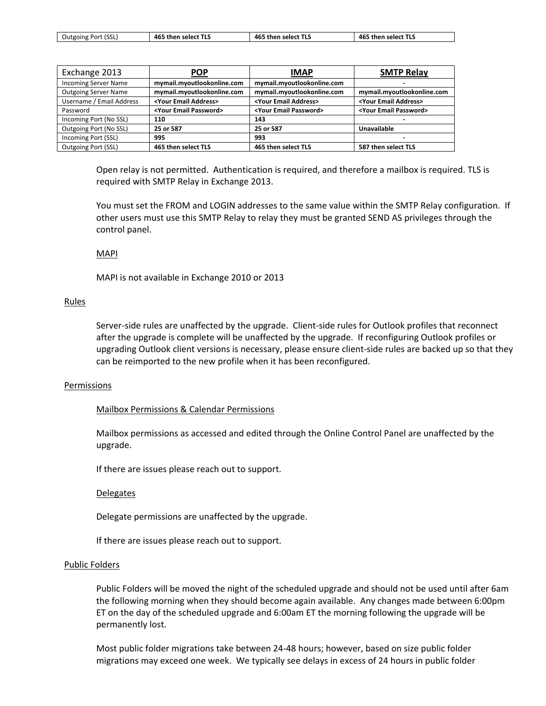| 465<br>Outgoing Port (SSL)<br>465<br>5 then select TLS<br>then select TLS<br>then select TLS<br>465 |  |  |  |  |
|-----------------------------------------------------------------------------------------------------|--|--|--|--|
|-----------------------------------------------------------------------------------------------------|--|--|--|--|

| Exchange 2013               | <b>POP</b>                         | <b>IMAP</b>                        | <b>SMTP Relay</b>                  |
|-----------------------------|------------------------------------|------------------------------------|------------------------------------|
| <b>Incoming Server Name</b> | mymail.myoutlookonline.com         | mymail.myoutlookonline.com         | -                                  |
| <b>Outgoing Server Name</b> | mymail.myoutlookonline.com         | mymail.myoutlookonline.com         | mymail.myoutlookonline.com         |
| Username / Email Address    | <your address="" email=""></your>  | <your address="" email=""></your>  | <your address="" email=""></your>  |
| Password                    | <your email="" password=""></your> | <your email="" password=""></your> | <your email="" password=""></your> |
| Incoming Port (No SSL)      | 110                                | 143                                |                                    |
| Outgoing Port (No SSL)      | 25 or 587                          | 25 or 587                          | Unavailable                        |
| Incoming Port (SSL)         | 995                                | 993                                |                                    |
| <b>Outgoing Port (SSL)</b>  | 465 then select TLS                | 465 then select TLS                | 587 then select TLS                |

Open relay is not permitted. Authentication is required, and therefore a mailbox is required. TLS is required with SMTP Relay in Exchange 2013.

You must set the FROM and LOGIN addresses to the same value within the SMTP Relay configuration. If other users must use this SMTP Relay to relay they must be granted SEND AS privileges through the control panel.

#### MAPI

MAPI is not available in Exchange 2010 or 2013

### Rules

Server-side rules are unaffected by the upgrade. Client-side rules for Outlook profiles that reconnect after the upgrade is complete will be unaffected by the upgrade. If reconfiguring Outlook profiles or upgrading Outlook client versions is necessary, please ensure client-side rules are backed up so that they can be reimported to the new profile when it has been reconfigured.

#### **Permissions**

# Mailbox Permissions & Calendar Permissions

Mailbox permissions as accessed and edited through the Online Control Panel are unaffected by the upgrade.

If there are issues please reach out to support.

#### Delegates

Delegate permissions are unaffected by the upgrade.

If there are issues please reach out to support.

#### Public Folders

Public Folders will be moved the night of the scheduled upgrade and should not be used until after 6am the following morning when they should become again available. Any changes made between 6:00pm ET on the day of the scheduled upgrade and 6:00am ET the morning following the upgrade will be permanently lost.

Most public folder migrations take between 24-48 hours; however, based on size public folder migrations may exceed one week. We typically see delays in excess of 24 hours in public folder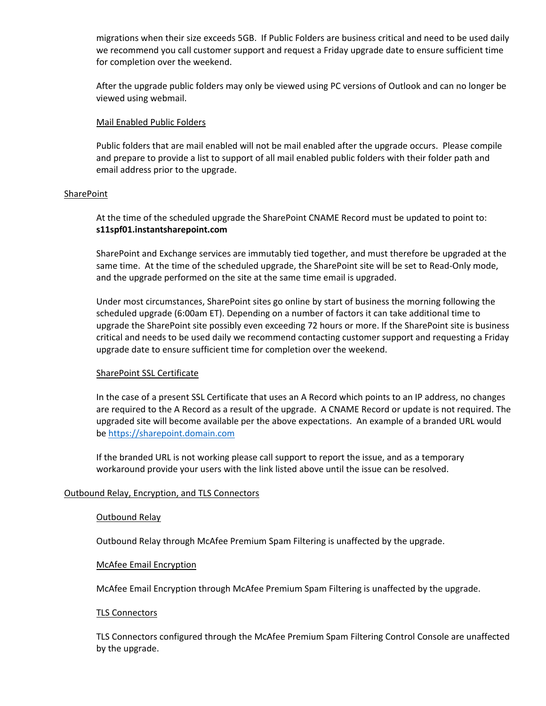migrations when their size exceeds 5GB. If Public Folders are business critical and need to be used daily we recommend you call customer support and request a Friday upgrade date to ensure sufficient time for completion over the weekend.

After the upgrade public folders may only be viewed using PC versions of Outlook and can no longer be viewed using webmail.

# Mail Enabled Public Folders

Public folders that are mail enabled will not be mail enabled after the upgrade occurs. Please compile and prepare to provide a list to support of all mail enabled public folders with their folder path and email address prior to the upgrade.

# **SharePoint**

At the time of the scheduled upgrade the SharePoint CNAME Record must be updated to point to: **s11spf01.instantsharepoint.com**

SharePoint and Exchange services are immutably tied together, and must therefore be upgraded at the same time. At the time of the scheduled upgrade, the SharePoint site will be set to Read-Only mode, and the upgrade performed on the site at the same time email is upgraded.

Under most circumstances, SharePoint sites go online by start of business the morning following the scheduled upgrade (6:00am ET). Depending on a number of factors it can take additional time to upgrade the SharePoint site possibly even exceeding 72 hours or more. If the SharePoint site is business critical and needs to be used daily we recommend contacting customer support and requesting a Friday upgrade date to ensure sufficient time for completion over the weekend.

# SharePoint SSL Certificate

In the case of a present SSL Certificate that uses an A Record which points to an IP address, no changes are required to the A Record as a result of the upgrade. A CNAME Record or update is not required. The upgraded site will become available per the above expectations. An example of a branded URL would b[e https://sharepoint.domain.com](https://sharepoint.domain.com/)

If the branded URL is not working please call support to report the issue, and as a temporary workaround provide your users with the link listed above until the issue can be resolved.

# Outbound Relay, Encryption, and TLS Connectors

# Outbound Relay

Outbound Relay through McAfee Premium Spam Filtering is unaffected by the upgrade.

# McAfee Email Encryption

McAfee Email Encryption through McAfee Premium Spam Filtering is unaffected by the upgrade.

# TLS Connectors

TLS Connectors configured through the McAfee Premium Spam Filtering Control Console are unaffected by the upgrade.